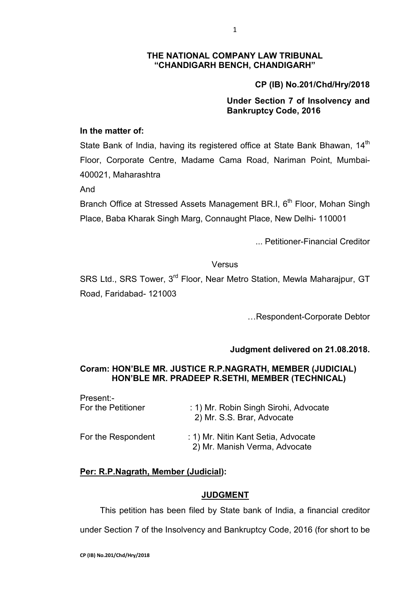#### **THE NATIONAL COMPANY LAW TRIBUNAL "CHANDIGARH BENCH, CHANDIGARH"**

# **CP (IB) No.201/Chd/Hry/2018**

## **Under Section 7 of Insolvency and Bankruptcy Code, 2016**

### **In the matter of:**

State Bank of India, having its registered office at State Bank Bhawan, 14th Floor, Corporate Centre, Madame Cama Road, Nariman Point, Mumbai-400021, Maharashtra

And

Branch Office at Stressed Assets Management BR.I, 6<sup>th</sup> Floor, Mohan Singh Place, Baba Kharak Singh Marg, Connaught Place, New Delhi- 110001

... Petitioner-Financial Creditor

#### Versus

SRS Ltd., SRS Tower, 3<sup>rd</sup> Floor, Near Metro Station, Mewla Maharajpur, GT Road, Faridabad- 121003

…Respondent-Corporate Debtor

## **Judgment delivered on 21.08.2018.**

## **Coram: HON'BLE MR. JUSTICE R.P.NAGRATH, MEMBER (JUDICIAL) HON'BLE MR. PRADEEP R.SETHI, MEMBER (TECHNICAL)**

| Present:-          | : 1) Mr. Robin Singh Sirohi, Advocate                                |
|--------------------|----------------------------------------------------------------------|
| For the Petitioner | 2) Mr. S.S. Brar, Advocate                                           |
| For the Respondent | : 1) Mr. Nitin Kant Setia, Advocate<br>2) Mr. Manish Verma, Advocate |

## **Per: R.P.Nagrath, Member (Judicial):**

#### **JUDGMENT**

This petition has been filed by State bank of India, a financial creditor

under Section 7 of the Insolvency and Bankruptcy Code, 2016 (for short to be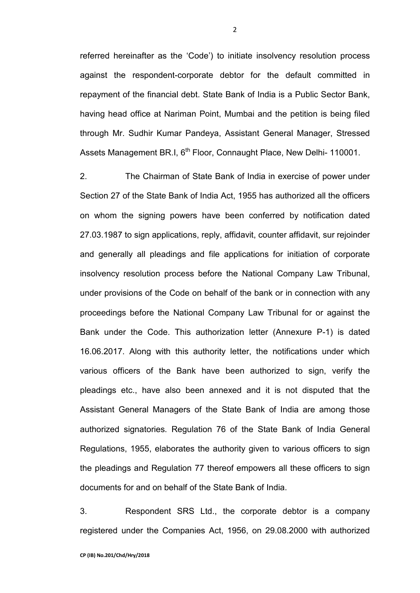referred hereinafter as the 'Code') to initiate insolvency resolution process against the respondent-corporate debtor for the default committed in repayment of the financial debt. State Bank of India is a Public Sector Bank, having head office at Nariman Point, Mumbai and the petition is being filed through Mr. Sudhir Kumar Pandeya, Assistant General Manager, Stressed Assets Management BR.I, 6<sup>th</sup> Floor, Connaught Place, New Delhi- 110001.

2. The Chairman of State Bank of India in exercise of power under Section 27 of the State Bank of India Act, 1955 has authorized all the officers on whom the signing powers have been conferred by notification dated 27.03.1987 to sign applications, reply, affidavit, counter affidavit, sur rejoinder and generally all pleadings and file applications for initiation of corporate insolvency resolution process before the National Company Law Tribunal, under provisions of the Code on behalf of the bank or in connection with any proceedings before the National Company Law Tribunal for or against the Bank under the Code. This authorization letter (Annexure P-1) is dated 16.06.2017. Along with this authority letter, the notifications under which various officers of the Bank have been authorized to sign, verify the pleadings etc., have also been annexed and it is not disputed that the Assistant General Managers of the State Bank of India are among those authorized signatories. Regulation 76 of the State Bank of India General Regulations, 1955, elaborates the authority given to various officers to sign the pleadings and Regulation 77 thereof empowers all these officers to sign documents for and on behalf of the State Bank of India.

3. Respondent SRS Ltd., the corporate debtor is a company registered under the Companies Act, 1956, on 29.08.2000 with authorized

2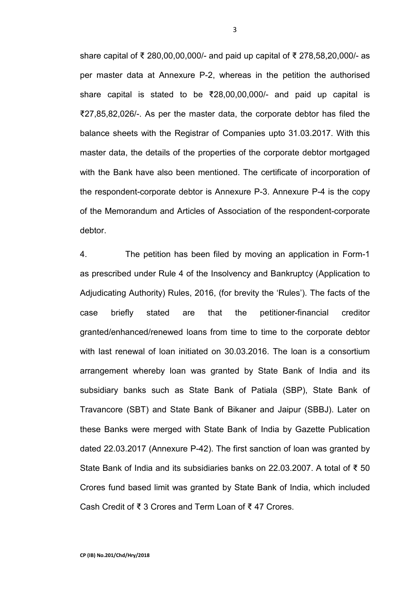share capital of ₹ 280,00,00,000/- and paid up capital of ₹ 278,58,20,000/- as per master data at Annexure P-2, whereas in the petition the authorised share capital is stated to be ₹28,00,00,000/- and paid up capital is ₹27,85,82,026/-. As per the master data, the corporate debtor has filed the balance sheets with the Registrar of Companies upto 31.03.2017. With this master data, the details of the properties of the corporate debtor mortgaged with the Bank have also been mentioned. The certificate of incorporation of the respondent-corporate debtor is Annexure P-3. Annexure P-4 is the copy of the Memorandum and Articles of Association of the respondent-corporate debtor.

4. The petition has been filed by moving an application in Form-1 as prescribed under Rule 4 of the Insolvency and Bankruptcy (Application to Adjudicating Authority) Rules, 2016, (for brevity the 'Rules'). The facts of the case briefly stated are that the petitioner-financial creditor granted/enhanced/renewed loans from time to time to the corporate debtor with last renewal of loan initiated on 30.03.2016. The loan is a consortium arrangement whereby loan was granted by State Bank of India and its subsidiary banks such as State Bank of Patiala (SBP), State Bank of Travancore (SBT) and State Bank of Bikaner and Jaipur (SBBJ). Later on these Banks were merged with State Bank of India by Gazette Publication dated 22.03.2017 (Annexure P-42). The first sanction of loan was granted by State Bank of India and its subsidiaries banks on 22.03.2007. A total of ₹ 50 Crores fund based limit was granted by State Bank of India, which included Cash Credit of ₹ 3 Crores and Term Loan of ₹ 47 Crores.

3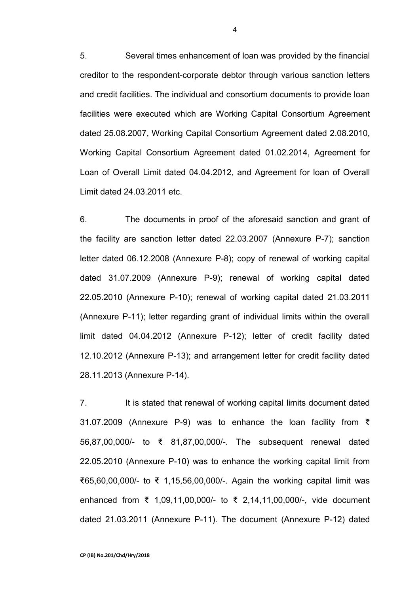5. Several times enhancement of loan was provided by the financial creditor to the respondent-corporate debtor through various sanction letters and credit facilities. The individual and consortium documents to provide loan facilities were executed which are Working Capital Consortium Agreement dated 25.08.2007, Working Capital Consortium Agreement dated 2.08.2010, Working Capital Consortium Agreement dated 01.02.2014, Agreement for Loan of Overall Limit dated 04.04.2012, and Agreement for loan of Overall Limit dated 24.03.2011 etc.

6. The documents in proof of the aforesaid sanction and grant of the facility are sanction letter dated 22.03.2007 (Annexure P-7); sanction letter dated 06.12.2008 (Annexure P-8); copy of renewal of working capital dated 31.07.2009 (Annexure P-9); renewal of working capital dated 22.05.2010 (Annexure P-10); renewal of working capital dated 21.03.2011 (Annexure P-11); letter regarding grant of individual limits within the overall limit dated 04.04.2012 (Annexure P-12); letter of credit facility dated 12.10.2012 (Annexure P-13); and arrangement letter for credit facility dated 28.11.2013 (Annexure P-14).

7. It is stated that renewal of working capital limits document dated 31.07.2009 (Annexure P-9) was to enhance the loan facility from ₹ 56,87,00,000/- to ₹ 81,87,00,000/-. The subsequent renewal dated 22.05.2010 (Annexure P-10) was to enhance the working capital limit from ₹65,60,00,000/- to ₹ 1,15,56,00,000/-. Again the working capital limit was enhanced from ₹ 1,09,11,00,000/- to ₹ 2,14,11,00,000/-, vide document dated 21.03.2011 (Annexure P-11). The document (Annexure P-12) dated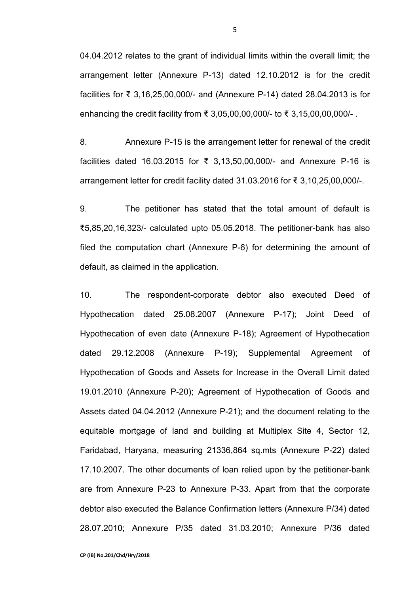04.04.2012 relates to the grant of individual limits within the overall limit; the arrangement letter (Annexure P-13) dated 12.10.2012 is for the credit facilities for ₹ 3,16,25,00,000/- and (Annexure P-14) dated 28.04.2013 is for enhancing the credit facility from ₹ 3,05,00,00,000/- to ₹ 3,15,00,00,000/- .

8. Annexure P-15 is the arrangement letter for renewal of the credit facilities dated 16.03.2015 for ₹ 3,13,50,00,000/- and Annexure P-16 is arrangement letter for credit facility dated 31.03.2016 for ₹ 3,10,25,00,000/-.

9. The petitioner has stated that the total amount of default is ₹5,85,20,16,323/- calculated upto 05.05.2018. The petitioner-bank has also filed the computation chart (Annexure P-6) for determining the amount of default, as claimed in the application.

10. The respondent-corporate debtor also executed Deed of Hypothecation dated 25.08.2007 (Annexure P-17); Joint Deed of Hypothecation of even date (Annexure P-18); Agreement of Hypothecation dated 29.12.2008 (Annexure P-19); Supplemental Agreement of Hypothecation of Goods and Assets for Increase in the Overall Limit dated 19.01.2010 (Annexure P-20); Agreement of Hypothecation of Goods and Assets dated 04.04.2012 (Annexure P-21); and the document relating to the equitable mortgage of land and building at Multiplex Site 4, Sector 12, Faridabad, Haryana, measuring 21336,864 sq.mts (Annexure P-22) dated 17.10.2007. The other documents of loan relied upon by the petitioner-bank are from Annexure P-23 to Annexure P-33. Apart from that the corporate debtor also executed the Balance Confirmation letters (Annexure P/34) dated 28.07.2010; Annexure P/35 dated 31.03.2010; Annexure P/36 dated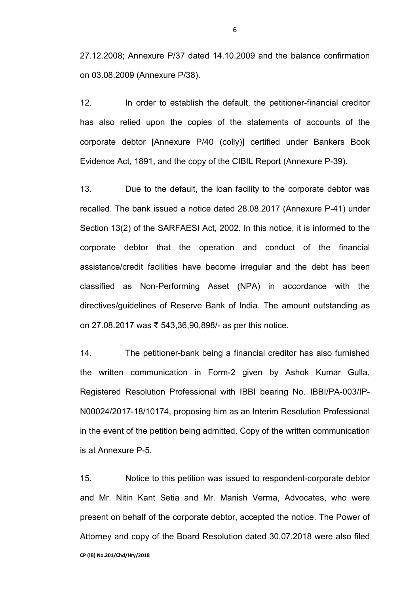27.12.2008; Annexure P/37 dated 14.10.2009 and the balance confirmation on 03.08.2009 (Annexure P/38).

12. In order to establish the default, the petitioner-financial creditor has also relied upon the copies of the statements of accounts of the corporate debtor [Annexure P/40 (colly)] certified under Bankers Book Evidence Act, 1891, and the copy of the CIBIL Report (Annexure P-39).

13. Due to the default, the loan facility to the corporate debtor was recalled. The bank issued a notice dated 28.08.2017 (Annexure P-41) under Section 13(2) of the SARFAESI Act, 2002. In this notice, it is informed to the corporate debtor that the operation and conduct of the financial assistance/credit facilities have become irregular and the debt has been classified as Non-Performing Asset (NPA) in accordance with the directives/guidelines of Reserve Bank of India. The amount outstanding as on 27.08.2017 was ₹ 543,36,90,898/- as per this notice.

14. The petitioner-bank being a financial creditor has also furnished the written communication in Form-2 given by Ashok Kumar Gulla, Registered Resolution Professional with IBBI bearing No. IBBI/PA-003/IP-N00024/2017-18/10174, proposing him as an Interim Resolution Professional in the event of the petition being admitted. Copy of the written communication is at Annexure P-5.

**CP (IB) No.201/Chd/Hry/2018**  15. Notice to this petition was issued to respondent-corporate debtor and Mr. Nitin Kant Setia and Mr. Manish Verma, Advocates, who were present on behalf of the corporate debtor, accepted the notice. The Power of Attorney and copy of the Board Resolution dated 30.07.2018 were also filed

6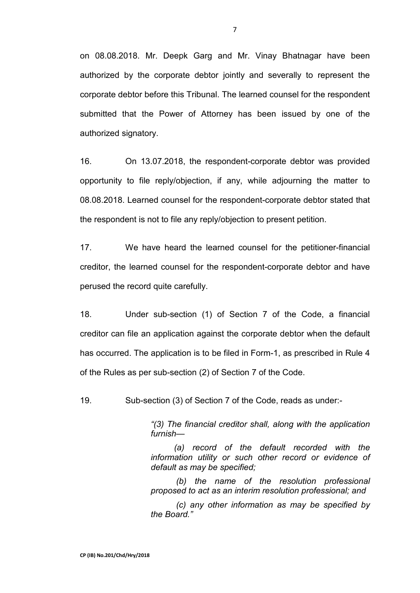on 08.08.2018. Mr. Deepk Garg and Mr. Vinay Bhatnagar have been authorized by the corporate debtor jointly and severally to represent the corporate debtor before this Tribunal. The learned counsel for the respondent submitted that the Power of Attorney has been issued by one of the authorized signatory.

16. On 13.07.2018, the respondent-corporate debtor was provided opportunity to file reply/objection, if any, while adjourning the matter to 08.08.2018. Learned counsel for the respondent-corporate debtor stated that the respondent is not to file any reply/objection to present petition.

17. We have heard the learned counsel for the petitioner-financial creditor, the learned counsel for the respondent-corporate debtor and have perused the record quite carefully.

18. Under sub-section (1) of Section 7 of the Code, a financial creditor can file an application against the corporate debtor when the default has occurred. The application is to be filed in Form-1, as prescribed in Rule 4 of the Rules as per sub-section (2) of Section 7 of the Code.

19. Sub-section (3) of Section 7 of the Code, reads as under:-

*"(3) The financial creditor shall, along with the application furnish—* 

*(a) record of the default recorded with the information utility or such other record or evidence of default as may be specified;* 

*(b) the name of the resolution professional proposed to act as an interim resolution professional; and* 

*(c) any other information as may be specified by the Board."*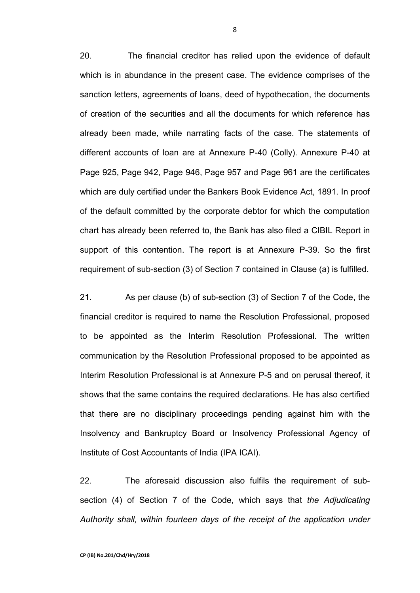20. The financial creditor has relied upon the evidence of default which is in abundance in the present case. The evidence comprises of the sanction letters, agreements of loans, deed of hypothecation, the documents of creation of the securities and all the documents for which reference has already been made, while narrating facts of the case. The statements of different accounts of loan are at Annexure P-40 (Colly). Annexure P-40 at Page 925, Page 942, Page 946, Page 957 and Page 961 are the certificates which are duly certified under the Bankers Book Evidence Act, 1891. In proof of the default committed by the corporate debtor for which the computation chart has already been referred to, the Bank has also filed a CIBIL Report in support of this contention. The report is at Annexure P-39. So the first requirement of sub-section (3) of Section 7 contained in Clause (a) is fulfilled.

21. As per clause (b) of sub-section (3) of Section 7 of the Code, the financial creditor is required to name the Resolution Professional, proposed to be appointed as the Interim Resolution Professional. The written communication by the Resolution Professional proposed to be appointed as Interim Resolution Professional is at Annexure P-5 and on perusal thereof, it shows that the same contains the required declarations. He has also certified that there are no disciplinary proceedings pending against him with the Insolvency and Bankruptcy Board or Insolvency Professional Agency of Institute of Cost Accountants of India (IPA ICAI).

22. The aforesaid discussion also fulfils the requirement of subsection (4) of Section 7 of the Code, which says that *the Adjudicating Authority shall, within fourteen days of the receipt of the application under*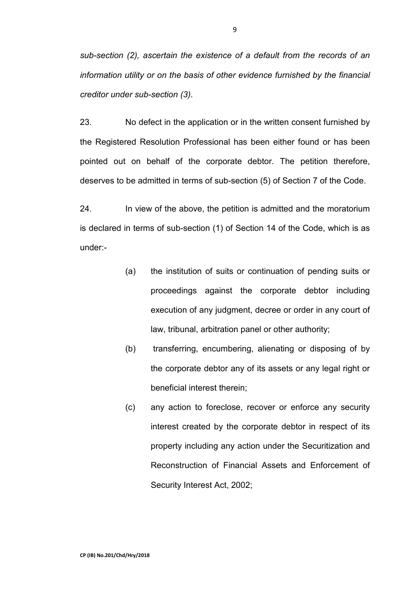*sub-section (2), ascertain the existence of a default from the records of an information utility or on the basis of other evidence furnished by the financial creditor under sub-section (3)*.

23. No defect in the application or in the written consent furnished by the Registered Resolution Professional has been either found or has been pointed out on behalf of the corporate debtor. The petition therefore, deserves to be admitted in terms of sub-section (5) of Section 7 of the Code.

24. In view of the above, the petition is admitted and the moratorium is declared in terms of sub-section (1) of Section 14 of the Code, which is as under:-

- (a) the institution of suits or continuation of pending suits or proceedings against the corporate debtor including execution of any judgment, decree or order in any court of law, tribunal, arbitration panel or other authority;
- (b) transferring, encumbering, alienating or disposing of by the corporate debtor any of its assets or any legal right or beneficial interest therein;
- (c) any action to foreclose, recover or enforce any security interest created by the corporate debtor in respect of its property including any action under the Securitization and Reconstruction of Financial Assets and Enforcement of Security Interest Act, 2002;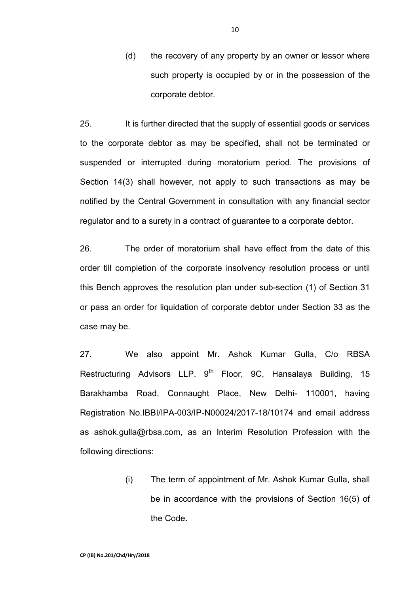(d) the recovery of any property by an owner or lessor where such property is occupied by or in the possession of the corporate debtor*.* 

25. It is further directed that the supply of essential goods or services to the corporate debtor as may be specified, shall not be terminated or suspended or interrupted during moratorium period. The provisions of Section 14(3) shall however, not apply to such transactions as may be notified by the Central Government in consultation with any financial sector regulator and to a surety in a contract of guarantee to a corporate debtor.

26. The order of moratorium shall have effect from the date of this order till completion of the corporate insolvency resolution process or until this Bench approves the resolution plan under sub-section (1) of Section 31 or pass an order for liquidation of corporate debtor under Section 33 as the case may be.

27. We also appoint Mr. Ashok Kumar Gulla, C/o RBSA Restructuring Advisors LLP.  $9<sup>th</sup>$  Floor, 9C. Hansalaya Building, 15 Barakhamba Road, Connaught Place, New Delhi- 110001, having Registration No.IBBI/IPA-003/IP-N00024/2017-18/10174 and email address as ashok.gulla@rbsa.com, as an Interim Resolution Profession with the following directions:

> (i) The term of appointment of Mr. Ashok Kumar Gulla, shall be in accordance with the provisions of Section 16(5) of the Code.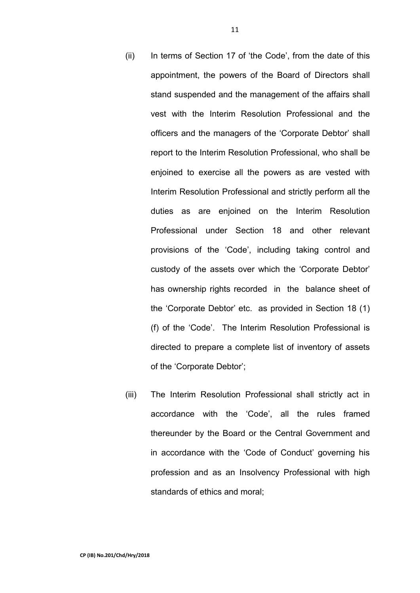- (ii) In terms of Section 17 of 'the Code', from the date of this appointment, the powers of the Board of Directors shall stand suspended and the management of the affairs shall vest with the Interim Resolution Professional and the officers and the managers of the 'Corporate Debtor' shall report to the Interim Resolution Professional, who shall be enjoined to exercise all the powers as are vested with Interim Resolution Professional and strictly perform all the duties as are enjoined on the Interim Resolution Professional under Section 18 and other relevant provisions of the 'Code', including taking control and custody of the assets over which the 'Corporate Debtor' has ownership rights recorded in the balance sheet of the 'Corporate Debtor' etc. as provided in Section 18 (1) (f) of the 'Code'. The Interim Resolution Professional is directed to prepare a complete list of inventory of assets of the 'Corporate Debtor';
- (iii) The Interim Resolution Professional shall strictly act in accordance with the 'Code', all the rules framed thereunder by the Board or the Central Government and in accordance with the 'Code of Conduct' governing his profession and as an Insolvency Professional with high standards of ethics and moral;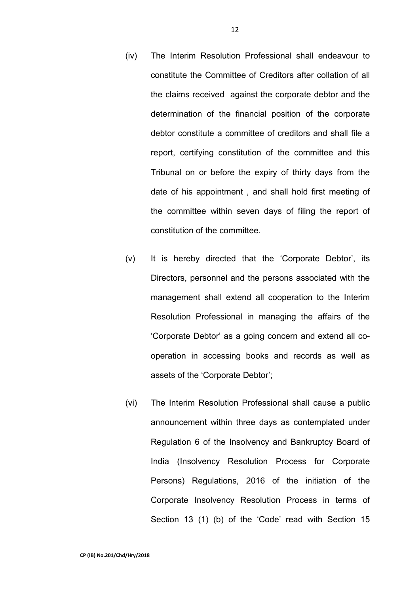- (iv) The Interim Resolution Professional shall endeavour to constitute the Committee of Creditors after collation of all the claims received against the corporate debtor and the determination of the financial position of the corporate debtor constitute a committee of creditors and shall file a report, certifying constitution of the committee and this Tribunal on or before the expiry of thirty days from the date of his appointment , and shall hold first meeting of the committee within seven days of filing the report of constitution of the committee.
- (v) It is hereby directed that the 'Corporate Debtor', its Directors, personnel and the persons associated with the management shall extend all cooperation to the Interim Resolution Professional in managing the affairs of the 'Corporate Debtor' as a going concern and extend all cooperation in accessing books and records as well as assets of the 'Corporate Debtor';
- (vi) The Interim Resolution Professional shall cause a public announcement within three days as contemplated under Regulation 6 of the Insolvency and Bankruptcy Board of India (Insolvency Resolution Process for Corporate Persons) Regulations, 2016 of the initiation of the Corporate Insolvency Resolution Process in terms of Section 13 (1) (b) of the 'Code' read with Section 15